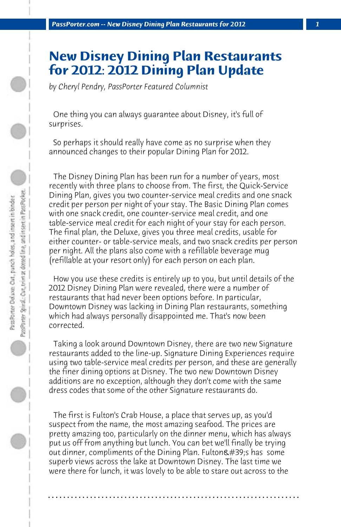## **New Disney Dining Plan Restaurants for 2012: 2012 Dining Plan Update**

*by Cheryl Pendry, PassPorter Featured Columnist*

 One thing you can always guarantee about Disney, it's full of surprises.

 So perhaps it should really have come as no surprise when they announced changes to their popular Dining Plan for 2012.

 The Disney Dining Plan has been run for a number of years, most recently with three plans to choose from. The first, the Quick-Service Dining Plan, gives you two counter-service meal credits and one snack credit per person per night of your stay. The Basic Dining Plan comes with one snack credit, one counter-service meal credit, and one table-service meal credit for each night of your stay for each person. The final plan, the Deluxe, gives you three meal credits, usable for either counter- or table-service meals, and two snack credits per person per night. All the plans also come with a refillable beverage mug (refillable at your resort only) for each person on each plan.

 How you use these credits is entirely up to you, but until details of the 2012 Disney Dining Plan were revealed, there were a number of restaurants that had never been options before. In particular, Downtown Disney was lacking in Dining Plan restaurants, something which had always personally disappointed me. That's now been corrected.

 Taking a look around Downtown Disney, there are two new Signature restaurants added to the line-up. Signature Dining Experiences require using two table-service meal credits per person, and these are generally the finer dining options at Disney. The two new Downtown Disney additions are no exception, although they don't come with the same dress codes that some of the other Signature restaurants do.

 The first is Fulton's Crab House, a place that serves up, as you'd suspect from the name, the most amazing seafood. The prices are pretty amazing too, particularly on the dinner menu, which has always put us off from anything but lunch. You can bet we'll finally be trying out dinner, compliments of the Dining Plan. Fulton's has some superb views across the lake at Downtown Disney. The last time we were there for lunch, it was lovely to be able to stare out across to the

**. . . . . . . . . . . . . . . . . . . . . . . . . . . . . . . . . . . . . . . . . . . . . . . . . . . . . . . . . . . . . . . . . .**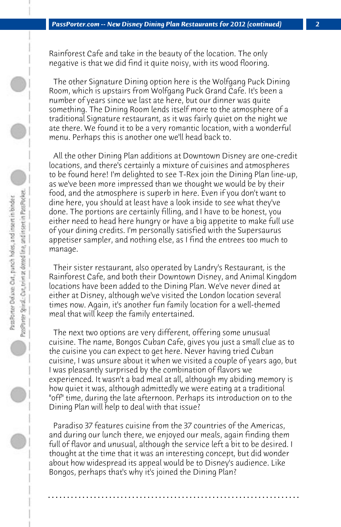Rainforest Cafe and take in the beauty of the location. The only negative is that we did find it quite noisy, with its wood flooring.

 The other Signature Dining option here is the Wolfgang Puck Dining Room, which is upstairs from Wolfgang Puck Grand Cafe. It's been a number of years since we last ate here, but our dinner was quite something. The Dining Room lends itself more to the atmosphere of a traditional Signature restaurant, as it was fairly quiet on the night we ate there. We found it to be a very romantic location, with a wonderful menu. Perhaps this is another one we'll head back to.

 All the other Dining Plan additions at Downtown Disney are one-credit locations, and there's certainly a mixture of cuisines and atmospheres to be found here! I'm delighted to see T-Rex join the Dining Plan line-up, as we've been more impressed than we thought we would be by their food, and the atmosphere is superb in here. Even if you don't want to dine here, you should at least have a look inside to see what they've done. The portions are certainly filling, and I have to be honest, you either need to head here hungry or have a big appetite to make full use of your dining credits. I'm personally satisfied with the Supersaurus appetiser sampler, and nothing else, as I find the entrees too much to manage.

 Their sister restaurant, also operated by Landry's Restaurant, is the Rainforest Cafe, and both their Downtown Disney, and Animal Kingdom locations have been added to the Dining Plan. We've never dined at either at Disney, although we've visited the London location several times now. Again, it's another fun family location for a well-themed meal that will keep the family entertained.

 The next two options are very different, offering some unusual cuisine. The name, Bongos Cuban Cafe, gives you just a small clue as to the cuisine you can expect to get here. Never having tried Cuban cuisine, I was unsure about it when we visited a couple of years ago, but I was pleasantly surprised by the combination of flavors we experienced. It wasn't a bad meal at all, although my abiding memory is how quiet it was, although admittedly we were eating at a traditional "off" time, during the late afternoon. Perhaps its introduction on to the Dining Plan will help to deal with that issue?

 Paradiso 37 features cuisine from the 37 countries of the Americas, and during our lunch there, we enjoyed our meals, again finding them full of flavor and unusual, although the service left a bit to be desired. I thought at the time that it was an interesting concept, but did wonder about how widespread its appeal would be to Disney's audience. Like Bongos, perhaps that's why it's joined the Dining Plan?

**. . . . . . . . . . . . . . . . . . . . . . . . . . . . . . . . . . . . . . . . . . . . . . . . . . . . . . . . . . . . . . . . . .**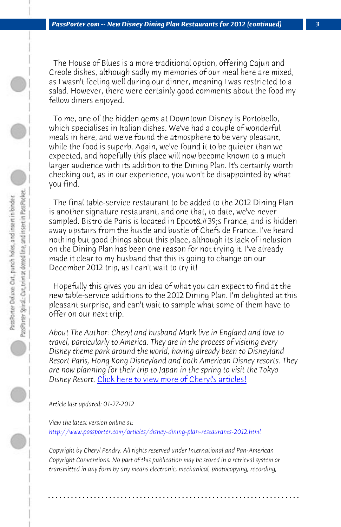*PassPorter.com -- New Disney Dining Plan Restaurants for 2012 (continued) 3*

 The House of Blues is a more traditional option, offering Cajun and Creole dishes, although sadly my memories of our meal here are mixed, as I wasn't feeling well during our dinner, meaning I was restricted to a salad. However, there were certainly good comments about the food my fellow diners enjoyed.

 To me, one of the hidden gems at Downtown Disney is Portobello, which specialises in Italian dishes. We've had a couple of wonderful meals in here, and we've found the atmosphere to be very pleasant, while the food is superb. Again, we've found it to be quieter than we expected, and hopefully this place will now become known to a much larger audience with its addition to the Dining Plan. It's certainly worth checking out, as in our experience, you won't be disappointed by what you find.

 The final table-service restaurant to be added to the 2012 Dining Plan is another signature restaurant, and one that, to date, we've never sampled. Bist[ro de Paris is located in Epcot's France,](http://www.passporter.com/articles/cheryl-pendry-featured-columnist.asp) and is hidden away upstairs from the hustle and bustle of Chefs de France. I've heard nothing but good things about this place, although its lack of inclusion on the Dining Plan has been one reason for not trying it. I've already made it clear to my husband that this is going to change on our December 2012 trip, as I can't wait to try it!

 Hopefully this gives you an idea of what you can expect to find at the new table-service additions to the 2012 Dining Plan. I'm delighted at this pleasant surprise, and can't wait to sample what some of them have to offer on our next trip.

*About The Author: Cheryl and husband Mark live in England and love to travel, particularly to America. They are in the process of visiting every Disney theme park around the world, having already been to Disneyland Resort Paris, Hong Kong Disneyland and both American Disney resorts. They are now planning for their trip to Japan in the spring to visit the Tokyo Disney Resort.* Click here to view more of Cheryl's articles!

*Article last updated: 01-27-2012*

*View the latest version online at: http://www.passporter.com/articles/disney-dining-plan-restaurants-2012.html*

*Copyright by Cheryl Pendry. All rights reserved under International and Pan-American Copyright Conventions. No part of this publication may be stored in a retrieval system or transmitted in any form by any means electronic, mechanical, photocopying, recording,*

**. . . . . . . . . . . . . . . . . . . . . . . . . . . . . . . . . . . . . . . . . . . . . . . . . . . . . . . . . . . . . . . . . .**

Pass Porter Delaxe: Out, panch holes, and insert in binder